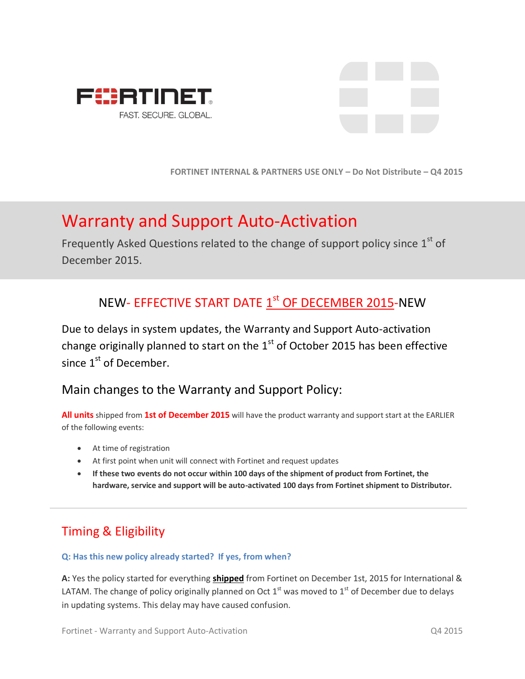



**FORTINET INTERNAL & PARTNERS USE ONLY – Do Not Distribute – Q4 2015**

# Warranty and Support Auto-Activation

Frequently Asked Questions related to the change of support policy since  $1<sup>st</sup>$  of December 2015.

# NEW- EFFECTIVE START DATE  $\underline{1}^{\text{st}}$  OF DECEMBER 2015-NEW

Due to delays in system updates, the Warranty and Support Auto-activation change originally planned to start on the  $1<sup>st</sup>$  of October 2015 has been effective since  $1<sup>st</sup>$  of December.

# Main changes to the Warranty and Support Policy:

**All units** shipped from **1st of December 2015** will have the product warranty and support start at the EARLIER of the following events:

- At time of registration
- At first point when unit will connect with Fortinet and request updates
- **If these two events do not occur within 100 days of the shipment of product from Fortinet, the hardware, service and support will be auto-activated 100 days from Fortinet shipment to Distributor.**

# Timing & Eligibility

#### **Q: Has this new policy already started? If yes, from when?**

**A:** Yes the policy started for everything **shipped** from Fortinet on December 1st, 2015 for International & LATAM. The change of policy originally planned on Oct  $1<sup>st</sup>$  was moved to  $1<sup>st</sup>$  of December due to delays in updating systems. This delay may have caused confusion.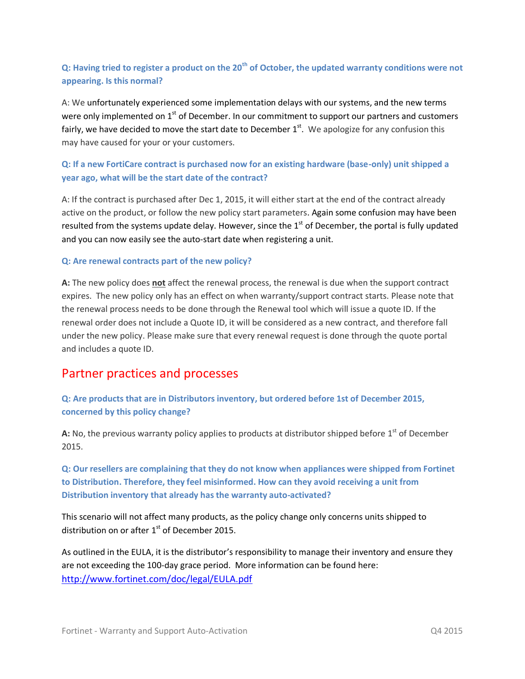## **Q: Having tried to register a product on the 20th of October, the updated warranty conditions were not appearing. Is this normal?**

A: We unfortunately experienced some implementation delays with our systems, and the new terms were only implemented on  $1<sup>st</sup>$  of December. In our commitment to support our partners and customers fairly, we have decided to move the start date to December  $1<sup>st</sup>$ . We apologize for any confusion this may have caused for your or your customers.

## **Q: If a new FortiCare contract is purchased now for an existing hardware (base-only) unit shipped a year ago, what will be the start date of the contract?**

A: If the contract is purchased after Dec 1, 2015, it will either start at the end of the contract already active on the product, or follow the new policy start parameters. Again some confusion may have been resulted from the systems update delay. However, since the  $1<sup>st</sup>$  of December, the portal is fully updated and you can now easily see the auto-start date when registering a unit.

#### **Q: Are renewal contracts part of the new policy?**

**A:** The new policy does **not** affect the renewal process, the renewal is due when the support contract expires. The new policy only has an effect on when warranty/support contract starts. Please note that the renewal process needs to be done through the Renewal tool which will issue a quote ID. If the renewal order does not include a Quote ID, it will be considered as a new contract, and therefore fall under the new policy. Please make sure that every renewal request is done through the quote portal and includes a quote ID.

# Partner practices and processes

### **Q: Are products that are in Distributors inventory, but ordered before 1st of December 2015, concerned by this policy change?**

A: No, the previous warranty policy applies to products at distributor shipped before 1<sup>st</sup> of December 2015.

**Q: Our resellers are complaining that they do not know when appliances were shipped from Fortinet to Distribution. Therefore, they feel misinformed. How can they avoid receiving a unit from Distribution inventory that already has the warranty auto-activated?**

This scenario will not affect many products, as the policy change only concerns units shipped to distribution on or after  $1<sup>st</sup>$  of December 2015.

As outlined in the EULA, it is the distributor's responsibility to manage their inventory and ensure they are not exceeding the 100-day grace period. More information can be found here: <http://www.fortinet.com/doc/legal/EULA.pdf>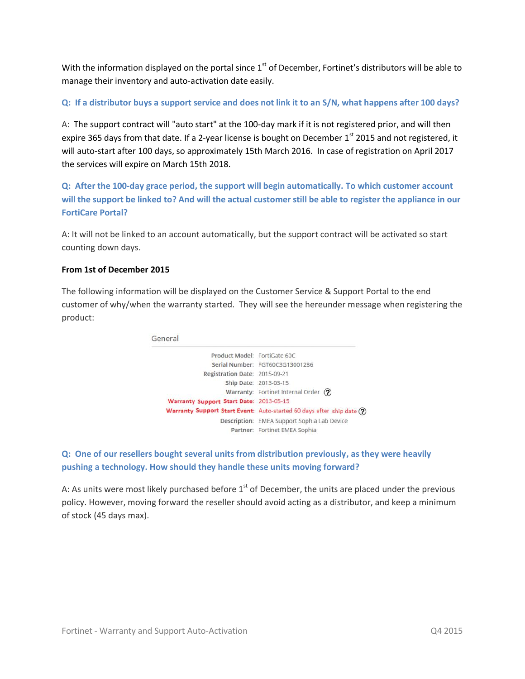With the information displayed on the portal since  $1<sup>st</sup>$  of December, Fortinet's distributors will be able to manage their inventory and auto-activation date easily.

#### **Q: If a distributor buys a support service and does not link it to an S/N, what happens after 100 days?**

A: The support contract will "auto start" at the 100-day mark if it is not registered prior, and will then expire 365 days from that date. If a 2-year license is bought on December 1<sup>st</sup> 2015 and not registered, it will auto-start after 100 days, so approximately 15th March 2016. In case of registration on April 2017 the services will expire on March 15th 2018.

**Q: After the 100-day grace period, the support will begin automatically. To which customer account will the support be linked to? And will the actual customer still be able to register the appliance in our FortiCare Portal?**

A: It will not be linked to an account automatically, but the support contract will be activated so start counting down days.

#### **From 1st of December 2015**

The following information will be displayed on the Customer Service & Support Portal to the end customer of why/when the warranty started. They will see the hereunder message when registering the product:



## **Q: One of our resellers bought several units from distribution previously, as they were heavily pushing a technology. How should they handle these units moving forward?**

A: As units were most likely purchased before  $1<sup>st</sup>$  of December, the units are placed under the previous policy. However, moving forward the reseller should avoid acting as a distributor, and keep a minimum of stock (45 days max).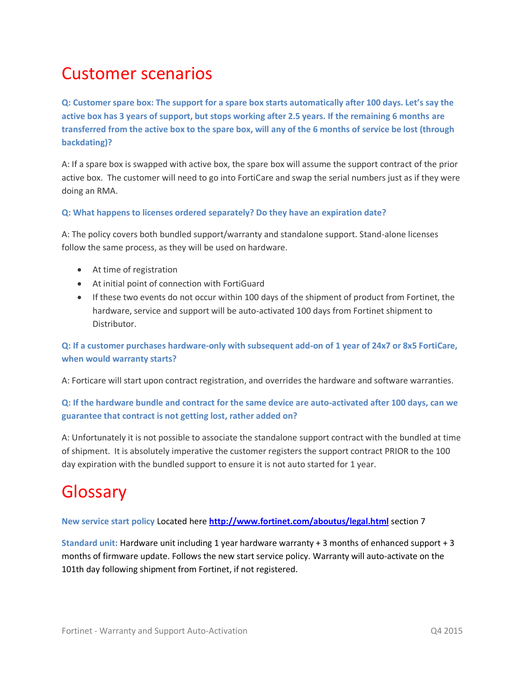# Customer scenarios

**Q: Customer spare box: The support for a spare box starts automatically after 100 days. Let's say the active box has 3 years of support, but stops working after 2.5 years. If the remaining 6 months are transferred from the active box to the spare box, will any of the 6 months of service be lost (through backdating)?**

A: If a spare box is swapped with active box, the spare box will assume the support contract of the prior active box. The customer will need to go into FortiCare and swap the serial numbers just as if they were doing an RMA.

#### **Q: What happens to licenses ordered separately? Do they have an expiration date?**

A: The policy covers both bundled support/warranty and standalone support. Stand-alone licenses follow the same process, as they will be used on hardware.

- At time of registration
- At initial point of connection with FortiGuard
- If these two events do not occur within 100 days of the shipment of product from Fortinet, the hardware, service and support will be auto-activated 100 days from Fortinet shipment to Distributor.

### **Q: If a customer purchases hardware-only with subsequent add-on of 1 year of 24x7 or 8x5 FortiCare, when would warranty starts?**

A: Forticare will start upon contract registration, and overrides the hardware and software warranties.

### **Q: If the hardware bundle and contract for the same device are auto-activated after 100 days, can we guarantee that contract is not getting lost, rather added on?**

A: Unfortunately it is not possible to associate the standalone support contract with the bundled at time of shipment. It is absolutely imperative the customer registers the support contract PRIOR to the 100 day expiration with the bundled support to ensure it is not auto started for 1 year.

# Glossary

**New service start policy** Located here **<http://www.fortinet.com/aboutus/legal.html>** section 7

**Standard unit:** Hardware unit including 1 year hardware warranty + 3 months of enhanced support + 3 months of firmware update. Follows the new start service policy. Warranty will auto-activate on the 101th day following shipment from Fortinet, if not registered.